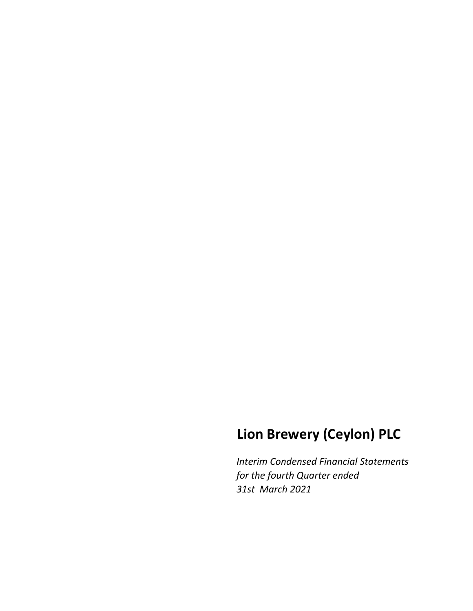# **Lion Brewery (Ceylon) PLC**

*Interim Condensed Financial Statements for the fourth Quarter ended 31st March 2021*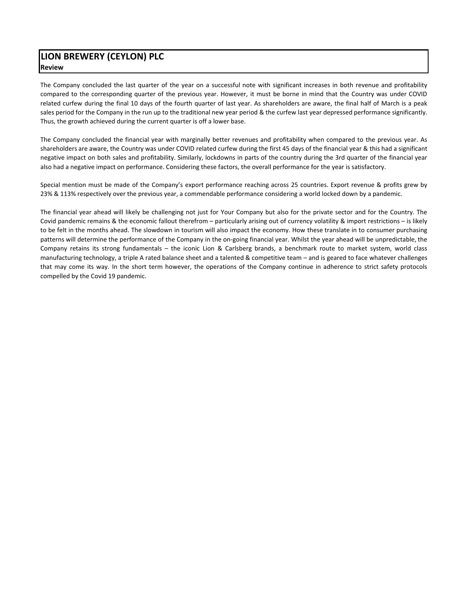# **LION BREWERY (CEYLON) PLC Review**

The Company concluded the last quarter of the year on a successful note with significant increases in both revenue and profitability compared to the corresponding quarter of the previous year. However, it must be borne in mind that the Country was under COVID related curfew during the final 10 days of the fourth quarter of last year. As shareholders are aware, the final half of March is a peak sales period for the Company in the run up to the traditional new year period & the curfew last year depressed performance significantly. Thus, the growth achieved during the current quarter is off a lower base.

The Company concluded the financial year with marginally better revenues and profitability when compared to the previous year. As shareholders are aware, the Country was under COVID related curfew during the first 45 days of the financial year & this had a significant negative impact on both sales and profitability. Similarly, lockdowns in parts of the country during the 3rd quarter of the financial year also had a negative impact on performance. Considering these factors, the overall performance for the year is satisfactory.

Special mention must be made of the Company's export performance reaching across 25 countries. Export revenue & profits grew by 23% & 113% respectively over the previous year, a commendable performance considering a world locked down by a pandemic.

The financial year ahead will likely be challenging not just for Your Company but also for the private sector and for the Country. The Covid pandemic remains & the economic fallout therefrom – particularly arising out of currency volatility & import restrictions – is likely to be felt in the months ahead. The slowdown in tourism will also impact the economy. How these translate in to consumer purchasing patterns will determine the performance of the Company in the on-going financial year. Whilst the year ahead will be unpredictable, the Company retains its strong fundamentals – the iconic Lion & Carlsberg brands, a benchmark route to market system, world class manufacturing technology, a triple A rated balance sheet and a talented & competitive team – and is geared to face whatever challenges that may come its way. In the short term however, the operations of the Company continue in adherence to strict safety protocols compelled by the Covid 19 pandemic.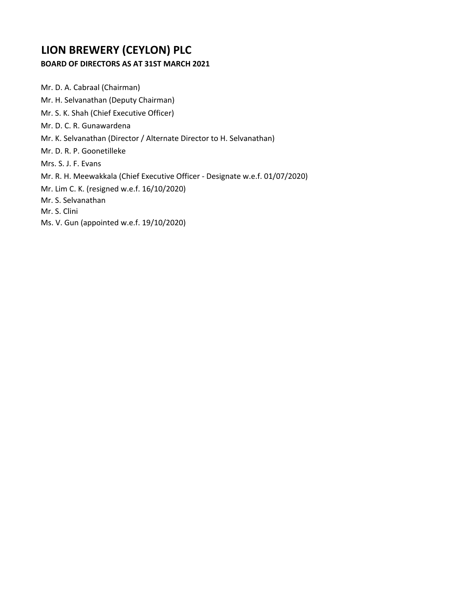# **LION BREWERY (CEYLON) PLC**

# **BOARD OF DIRECTORS AS AT 31ST MARCH 2021**

Mr. D. A. Cabraal (Chairman) Mr. H. Selvanathan (Deputy Chairman) Mr. S. K. Shah (Chief Executive Officer) Mr. D. C. R. Gunawardena Mr. K. Selvanathan (Director / Alternate Director to H. Selvanathan) Mr. D. R. P. Goonetilleke Mrs. S. J. F. Evans Mr. R. H. Meewakkala (Chief Executive Officer ‐ Designate w.e.f. 01/07/2020) Mr. Lim C. K. (resigned w.e.f. 16/10/2020) Mr. S. Selvanathan Mr. S. Clini Ms. V. Gun (appointed w.e.f. 19/10/2020)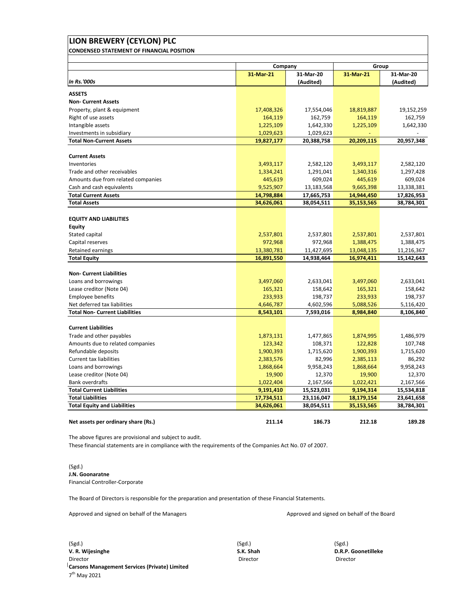# **LION BREWERY (CEYLON) PLC CONDENSED STATEMENT OF FINANCIAL POSITION**

|                                       | Company    |            | Group      |            |
|---------------------------------------|------------|------------|------------|------------|
|                                       | 31-Mar-21  | 31-Mar-20  | 31-Mar-21  | 31-Mar-20  |
| <b>In Rs.'000s</b>                    |            | (Audited)  |            | (Audited)  |
| <b>ASSETS</b>                         |            |            |            |            |
| <b>Non- Current Assets</b>            |            |            |            |            |
| Property, plant & equipment           | 17,408,326 | 17,554,046 | 18,819,887 | 19,152,259 |
| Right of use assets                   | 164,119    | 162,759    | 164,119    | 162,759    |
| Intangible assets                     | 1,225,109  | 1,642,330  | 1,225,109  | 1,642,330  |
| Investments in subsidiary             | 1,029,623  | 1,029,623  |            |            |
| <b>Total Non-Current Assets</b>       | 19,827,177 | 20,388,758 | 20,209,115 | 20,957,348 |
|                                       |            |            |            |            |
| <b>Current Assets</b>                 |            |            |            |            |
| Inventories                           | 3,493,117  | 2,582,120  | 3,493,117  | 2,582,120  |
| Trade and other receivables           | 1,334,241  | 1,291,041  | 1,340,316  | 1,297,428  |
| Amounts due from related companies    | 445,619    | 609,024    | 445,619    | 609,024    |
| Cash and cash equivalents             | 9,525,907  | 13,183,568 | 9,665,398  | 13,338,381 |
| <b>Total Current Assets</b>           | 14,798,884 | 17,665,753 | 14,944,450 | 17,826,953 |
| <b>Total Assets</b>                   | 34,626,061 | 38,054,511 | 35,153,565 | 38,784,301 |
|                                       |            |            |            |            |
| <b>EQUITY AND LIABILITIES</b>         |            |            |            |            |
| <b>Equity</b>                         |            |            |            |            |
| Stated capital                        | 2,537,801  | 2,537,801  | 2,537,801  | 2,537,801  |
| Capital reserves                      | 972,968    | 972,968    | 1,388,475  | 1,388,475  |
| Retained earnings                     | 13,380,781 | 11,427,695 | 13,048,135 | 11,216,367 |
| <b>Total Equity</b>                   | 16,891,550 | 14,938,464 | 16,974,411 | 15,142,643 |
| <b>Non- Current Liabilities</b>       |            |            |            |            |
| Loans and borrowings                  | 3,497,060  | 2,633,041  | 3,497,060  | 2,633,041  |
| Lease creditor (Note 04)              | 165,321    | 158,642    | 165,321    | 158,642    |
| Employee benefits                     | 233,933    | 198,737    | 233,933    | 198,737    |
| Net deferred tax liabilities          | 4,646,787  | 4,602,596  | 5,088,526  | 5,116,420  |
| <b>Total Non- Current Liabilities</b> | 8,543,101  | 7,593,016  | 8,984,840  | 8,106,840  |
|                                       |            |            |            |            |
| <b>Current Liabilities</b>            |            |            |            |            |
| Trade and other payables              | 1,873,131  | 1,477,865  | 1,874,995  | 1,486,979  |
| Amounts due to related companies      | 123,342    | 108,371    | 122,828    | 107,748    |
| Refundable deposits                   | 1,900,393  | 1,715,620  | 1,900,393  | 1,715,620  |
| <b>Current tax liabilities</b>        | 2,383,576  | 82,996     | 2,385,113  | 86,292     |
| Loans and borrowings                  | 1,868,664  | 9,958,243  | 1,868,664  | 9,958,243  |
| Lease creditor (Note 04)              | 19,900     | 12,370     | 19,900     | 12,370     |
| <b>Bank overdrafts</b>                | 1,022,404  | 2,167,566  | 1,022,421  | 2,167,566  |
| <b>Total Current Liabilities</b>      | 9,191,410  | 15,523,031 | 9,194,314  | 15,534,818 |
| <b>Total Liabilities</b>              | 17,734,511 | 23,116,047 | 18,179,154 | 23,641,658 |
| <b>Total Equity and Liabilities</b>   | 34,626,061 | 38,054,511 | 35,153,565 | 38,784,301 |
|                                       |            |            |            |            |
| Net assets per ordinary share (Rs.)   | 211.14     | 186.73     | 212.18     | 189.28     |

The above figures are provisional and subject to audit.

These financial statements are in compliance with the requirements of the Companies Act No. 07 of 2007.

# (Sgd.) **J.N. Goonaratne** Financial Controller‐Corporate

The Board of Directors is responsible for the preparation and presentation of these Financial Statements.

Approved and signed on behalf of the Managers Approved and signed on behalf of the Board

(Sgd.) (Sgd.) (Sgd.) **V. R. Wijesinghe S.K. Shah D.R.P. Goonetilleke** Director Director Director **Carsons Management Services (Private) Limited** 7th May 2021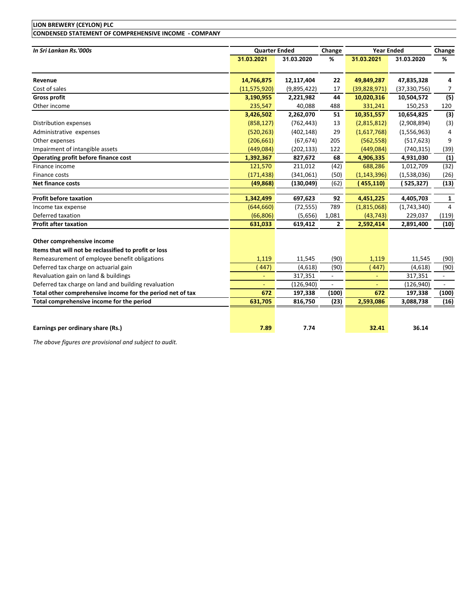# **LION BREWERY (CEYLON) PLC**

**CONDENSED STATEMENT OF COMPREHENSIVE INCOME ‐ COMPANY**

| In Sri Lankan Rs.'000s                                     | <b>Quarter Ended</b> |             | Change                   |                | <b>Year Ended</b> | Change                   |
|------------------------------------------------------------|----------------------|-------------|--------------------------|----------------|-------------------|--------------------------|
|                                                            | 31.03.2021           | 31.03.2020  | %                        | 31.03.2021     | 31.03.2020        | %                        |
| Revenue                                                    | 14,766,875           | 12,117,404  | 22                       | 49,849,287     | 47,835,328        | 4                        |
| Cost of sales                                              | (11, 575, 920)       | (9,895,422) | 17                       | (39,828,971)   | (37, 330, 756)    | 7                        |
| <b>Gross profit</b>                                        | 3,190,955            | 2,221,982   | 44                       | 10,020,316     | 10,504,572        | (5)                      |
| Other income                                               | 235,547              | 40,088      | 488                      | 331,241        | 150,253           | 120                      |
|                                                            | 3,426,502            | 2,262,070   | 51                       | 10,351,557     | 10,654,825        | (3)                      |
| Distribution expenses                                      | (858, 127)           | (762, 443)  | 13                       | (2,815,812)    | (2,908,894)       | (3)                      |
| Administrative expenses                                    | (520, 263)           | (402, 148)  | 29                       | (1,617,768)    | (1,556,963)       | 4                        |
| Other expenses                                             | (206, 661)           | (67, 674)   | 205                      | (562, 558)     | (517, 623)        | 9                        |
| Impairment of intangible assets                            | (449,084)            | (202, 133)  | 122                      | (449, 084)     | (740, 315)        | (39)                     |
| Operating profit before finance cost                       | 1,392,367            | 827,672     | 68                       | 4,906,335      | 4,931,030         | (1)                      |
| Finance income                                             | 121,570              | 211,012     | (42)                     | 688,286        | 1,012,709         | (32)                     |
| Finance costs                                              | (171, 438)           | (341,061)   | (50)                     | (1, 143, 396)  | (1,538,036)       | (26)                     |
| Net finance costs                                          | (49, 868)            | (130, 049)  | (62)                     | (455, 110)     | (525,327)         | (13)                     |
| <b>Profit before taxation</b>                              | 1,342,499            | 697,623     | 92                       | 4,451,225      | 4,405,703         | $\mathbf{1}$             |
| Income tax expense                                         | (644, 660)           | (72, 555)   | 789                      | (1,815,068)    | (1,743,340)       | $\overline{4}$           |
| Deferred taxation                                          | (66, 806)            | (5,656)     | 1,081                    | (43, 743)      | 229,037           | (119)                    |
| <b>Profit after taxation</b>                               | 631,033              | 619,412     | $\mathbf{2}$             | 2,592,414      | 2,891,400         | (10)                     |
| Other comprehensive income                                 |                      |             |                          |                |                   |                          |
| Items that will not be reclassified to profit or loss      |                      |             |                          |                |                   |                          |
| Remeasurement of employee benefit obligations              | 1,119                | 11,545      | (90)                     | 1,119          | 11,545            | (90)                     |
| Deferred tax charge on actuarial gain                      | (447)                | (4,618)     | (90)                     | 447)           | (4,618)           | (90)                     |
| Revaluation gain on land & buildings                       | $\blacksquare$       | 317,351     | $\overline{\phantom{a}}$ | $\blacksquare$ | 317,351           | $\overline{\phantom{a}}$ |
| Deferred tax charge on land and building revaluation       |                      | (126, 940)  | $\overline{a}$           |                | (126, 940)        | ÷                        |
| Total other comprehensive income for the period net of tax | 672                  | 197,338     | (100)                    | 672            | 197,338           | (100)                    |
| Total comprehensive income for the period                  | 631,705              | 816,750     | (23)                     | 2,593,086      | 3,088,738         | (16)                     |
|                                                            |                      |             |                          |                |                   |                          |
| Earnings per ordinary share (Rs.)                          | 7.89                 | 7.74        |                          | 32.41          | 36.14             |                          |

*The above figures are provisional and subject to audit.*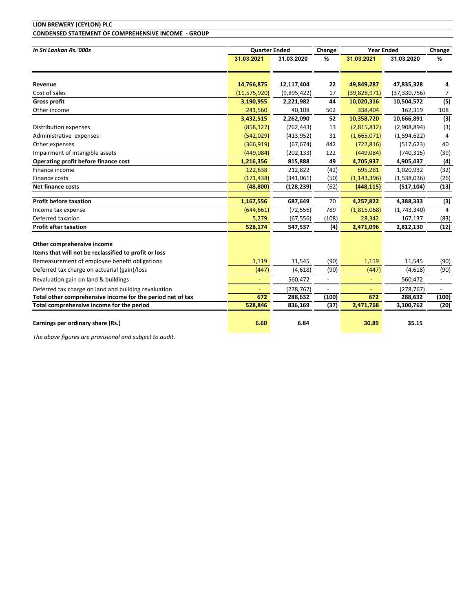# **LION BREWERY (CEYLON) PLC CONDENSED STATEMENT OF COMPREHENSIVE INCOME ‐ GROUP**

| In Sri Lankan Rs.'000s                                     | <b>Quarter Ended</b> |                       | Change | <b>Year Ended</b> | Change                |       |
|------------------------------------------------------------|----------------------|-----------------------|--------|-------------------|-----------------------|-------|
|                                                            | 31.03.2021           | 31.03.2020            | %      | 31.03.2021        | 31.03.2020            | %     |
|                                                            |                      |                       |        |                   |                       |       |
| Revenue                                                    | 14,766,875           | 12,117,404            | 22     | 49,849,287        | 47,835,328            | 4     |
| Cost of sales                                              | (11, 575, 920)       | (9,895,422)           | 17     | (39, 828, 971)    | (37, 330, 756)        | 7     |
| <b>Gross profit</b>                                        | 3,190,955            | 2,221,982             | 44     | 10,020,316        | 10,504,572            | (5)   |
| Other income                                               | 241,560              | 40,108                | 502    | 338,404           | 162,319               | 108   |
|                                                            | 3,432,515            | 2,262,090             | 52     | 10,358,720        | 10,666,891            | (3)   |
| Distribution expenses                                      | (858, 127)           | (762, 443)            | 13     | (2,815,812)       | (2,908,894)           | (3)   |
| Administrative expenses                                    | (542, 029)           | (413, 952)            | 31     | (1,665,071)       | (1,594,622)           | 4     |
| Other expenses                                             | (366, 919)           | (67, 674)             | 442    | (722, 816)        | (517, 623)            | 40    |
| Impairment of intangible assets                            | (449, 084)           | (202, 133)            | 122    | (449,084)         | (740, 315)            | (39)  |
| <b>Operating profit before finance cost</b>                | 1,216,356            | 815,888               | 49     | 4,705,937         | 4,905,437             | (4)   |
| Finance income                                             | 122,638              | 212,822               | (42)   | 695,281           | 1,020,932             | (32)  |
| Finance costs                                              | (171, 438)           | (341,061)             | (50)   | (1, 143, 396)     | (1,538,036)           | (26)  |
| Net finance costs                                          | (48, 800)            | (128, 239)            | (62)   | (448, 115)        | (517, 104)            | (13)  |
|                                                            |                      |                       |        |                   |                       |       |
| <b>Profit before taxation</b>                              | 1,167,556            | 687,649               | 70     | 4,257,822         | 4,388,333             | (3)   |
| Income tax expense                                         | (644, 661)           | (72, 556)             | 789    | (1,815,068)       | (1,743,340)           | 4     |
| Deferred taxation                                          | 5,279                | (67, 556)             | (108)  | 28,342            | 167,137               | (83)  |
| <b>Profit after taxation</b>                               | 528,174              | 547,537               | (4)    | 2,471,096         | 2,812,130             | (12)  |
| Other comprehensive income                                 |                      |                       |        |                   |                       |       |
| Items that will not be reclassified to profit or loss      |                      |                       |        |                   |                       |       |
| Remeasurement of employee benefit obligations              | 1,119                | 11,545                | (90)   | 1,119             | 11,545                | (90)  |
| Deferred tax charge on actuarial (gain)/loss               | (447)                | (4,618)               | (90)   | (447)             | (4,618)               | (90)  |
| Revaluation gain on land & buildings                       | $\blacksquare$       | 560,472               |        | $\blacksquare$    | 560,472               |       |
| Deferred tax charge on land and building revaluation       |                      |                       |        |                   |                       |       |
| Total other comprehensive income for the period net of tax | 672                  | (278, 767)<br>288,632 | (100)  | 672               | (278, 767)<br>288,632 | (100) |
| Total comprehensive income for the period                  | 528,846              | 836,169               | (37)   | 2,471,768         | 3,100,762             | (20)  |
|                                                            |                      |                       |        |                   |                       |       |
| Earnings per ordinary share (Rs.)                          | 6.60                 | 6.84                  |        | 30.89             | 35.15                 |       |

*The above figures are provisional and subject to audit.*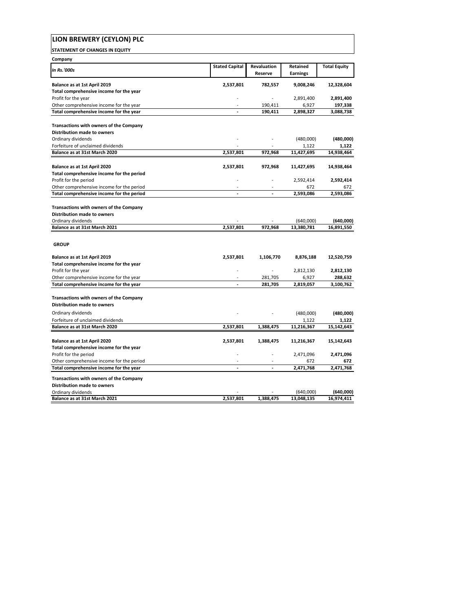| LION BREWERY (CEYLON) PLC                                                                           |                          |                        |                             |                     |
|-----------------------------------------------------------------------------------------------------|--------------------------|------------------------|-----------------------------|---------------------|
| <b>STATEMENT OF CHANGES IN EQUITY</b>                                                               |                          |                        |                             |                     |
| Company                                                                                             |                          |                        |                             |                     |
| <b>In Rs.'000s</b>                                                                                  | <b>Stated Capital</b>    | Revaluation<br>Reserve | Retained<br><b>Earnings</b> | <b>Total Equity</b> |
| Balance as at 1st April 2019                                                                        | 2,537,801                | 782,557                | 9,008,246                   | 12,328,604          |
| Total comprehensive income for the year                                                             |                          |                        |                             |                     |
| Profit for the year                                                                                 |                          | $\sim$                 | 2,891,400                   | 2,891,400           |
| Other comprehensive income for the year                                                             |                          | 190,411                | 6,927                       | 197,338             |
| Total comprehensive income for the year                                                             | L.                       | 190,411                | 2,898,327                   | 3,088,738           |
| Transactions with owners of the Company                                                             |                          |                        |                             |                     |
| Distribution made to owners                                                                         |                          |                        |                             |                     |
| Ordinary dividends                                                                                  |                          |                        | (480,000)                   | (480,000)           |
| Forfeiture of unclaimed dividends                                                                   |                          |                        | 1,122                       | 1,122               |
| Balance as at 31st March 2020                                                                       | 2,537,801                | 972.968                | 11,427,695                  | 14,938,464          |
| Balance as at 1st April 2020                                                                        | 2,537,801                | 972,968                | 11,427,695                  | 14,938,464          |
| Total comprehensive income for the period                                                           |                          |                        |                             |                     |
| Profit for the period                                                                               |                          |                        | 2,592,414                   | 2,592,414           |
| Other comprehensive income for the period                                                           |                          |                        | 672                         | 672                 |
| Total comprehensive income for the period                                                           |                          | $\overline{a}$         | 2,593,086                   | 2,593,086           |
| Transactions with owners of the Company<br><b>Distribution made to owners</b><br>Ordinary dividends |                          |                        | (640,000)                   | (640,000)           |
| Balance as at 31st March 2021                                                                       | 2,537,801                | 972,968                | 13,380,781                  | 16,891,550          |
| <b>GROUP</b><br>Balance as at 1st April 2019<br>Total comprehensive income for the year             | 2,537,801                | 1,106,770              | 8,876,188                   | 12,520,759          |
| Profit for the year                                                                                 |                          |                        | 2,812,130                   | 2,812,130           |
| Other comprehensive income for the year                                                             |                          | 281,705                | 6,927                       | 288,632             |
| Total comprehensive income for the year                                                             |                          | 281,705                | 2,819,057                   | 3,100,762           |
| Transactions with owners of the Company<br><b>Distribution made to owners</b>                       |                          |                        |                             |                     |
| Ordinary dividends                                                                                  |                          |                        | (480,000)                   | (480,000)           |
| Forfeiture of unclaimed dividends                                                                   |                          |                        | 1,122                       | 1,122               |
| Balance as at 31st March 2020                                                                       | 2,537,801                | 1,388,475              | 11,216,367                  | 15,142,643          |
| Balance as at 1st April 2020<br>Total comprehensive income for the year                             | 2,537,801                | 1,388,475              | 11,216,367                  | 15,142,643          |
| Profit for the period                                                                               |                          |                        | 2,471,096                   | 2,471,096           |
| Other comprehensive income for the period                                                           | $\overline{\phantom{a}}$ |                        | 672                         | 672                 |
| Total comprehensive income for the year                                                             | $\blacksquare$           |                        | 2,471,768                   | 2,471,768           |
|                                                                                                     |                          |                        |                             |                     |
| Transactions with owners of the Company                                                             |                          |                        |                             |                     |
| <b>Distribution made to owners</b><br>Ordinary dividends                                            |                          |                        | (640,000)                   | (640,000)           |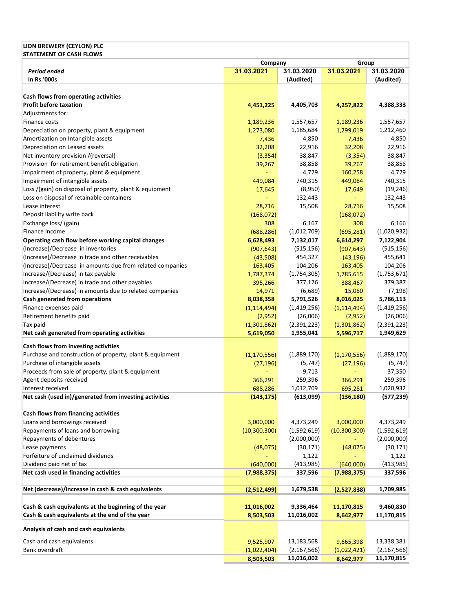| LION BREWERY (CEYLON) PLC                                                                              |                          |                         |                          |               |  |
|--------------------------------------------------------------------------------------------------------|--------------------------|-------------------------|--------------------------|---------------|--|
| <b>STATEMENT OF CASH FLOWS</b>                                                                         |                          |                         |                          |               |  |
|                                                                                                        | Company                  |                         | Group                    |               |  |
| <b>Period ended</b><br>In Rs.'000s                                                                     | 31.03.2021               | 31.03.2020              | 31.03.2021               | 31.03.2020    |  |
|                                                                                                        |                          | (Audited)               |                          | (Audited)     |  |
| Cash flows from operating activities                                                                   |                          |                         |                          |               |  |
| <b>Profit before taxation</b>                                                                          | 4,451,225                | 4,405,703               | 4,257,822                | 4,388,333     |  |
| Adjustments for:                                                                                       |                          |                         |                          |               |  |
| Finance costs                                                                                          | 1,189,236                | 1,557,657               | 1,189,236                | 1,557,657     |  |
| Depreciation on property, plant & equipment                                                            | 1,273,080                | 1,185,684               | 1,299,019                | 1,212,460     |  |
| Amortization on Intangible assets                                                                      | 7,436                    | 4,850                   | 7,436                    | 4,850         |  |
| Depreciation on Leased assets                                                                          | 32,208                   | 22,916                  | 32,208                   | 22,916        |  |
| Net inventory provision /(reversal)                                                                    | (3, 354)                 | 38,847                  | (3, 354)                 | 38,847        |  |
| Provision for retirement benefit obligation                                                            | 39,267                   | 38,858                  | 39,267                   | 38,858        |  |
| Impairment of property, plant & equipment                                                              |                          | 4,729                   | 160,258                  | 4,729         |  |
| Impairment of intangible assets                                                                        | 449,084                  | 740,315                 | 449,084                  | 740,315       |  |
| Loss /(gain) on disposal of property, plant & equipment                                                | 17,645                   | (8,950)                 | 17,649                   | (19, 246)     |  |
| Loss on disposal of retainable containers                                                              |                          | 132,443                 |                          | 132,443       |  |
| Lease interest                                                                                         | 28,716                   | 15,508                  | 28,716                   | 15,508        |  |
| Deposit liability write back                                                                           | (168,072)                |                         | (168,072)                |               |  |
| Exchange loss/ (gain)                                                                                  | 308                      | 6,167                   | 308                      | 6,166         |  |
| Finance Income                                                                                         | (688, 286)               | (1,012,709)             | (695, 281)               | (1,020,932)   |  |
| Operating cash flow before working capital changes                                                     | 6,628,493                | 7,132,017               | 6,614,297                | 7,122,904     |  |
| (Increase)/Decrease in inventories                                                                     | (907, 643)               | (515, 156)              | (907, 643)               | (515, 156)    |  |
| (Increase)/Decrease in trade and other receivables                                                     | (43,508)                 | 454,327                 | (43, 196)                | 455,641       |  |
| (Increase)/Decrease in amounts due from related companies                                              | 163,405                  | 104,206                 | 163,405                  | 104,206       |  |
| Increase/(Decrease) in tax payable                                                                     | 1,787,374                | (1,754,305)             | 1,785,615                | (1,753,671)   |  |
| Increase/(Decrease) in trade and other payables                                                        | 395,266                  | 377,126                 | 388,467                  | 379,387       |  |
| Increase/(Decrease) in amounts due to related companies                                                | 14,971                   | (6,689)                 | 15,080                   | (7, 198)      |  |
| Cash generated from operations                                                                         | 8,038,358                | 5,791,526               | 8,016,025                | 5,786,113     |  |
| Finance expenses paid                                                                                  | (1, 114, 494)            | (1,419,256)             | (1, 114, 494)            | (1,419,256)   |  |
| Retirement benefits paid                                                                               | (2,952)                  | (26,006)                | (2,952)                  | (26,006)      |  |
| Tax paid                                                                                               | (1,301,862)              | (2,391,223)             | (1,301,862)              | (2,391,223)   |  |
| Net cash generated from operating activities                                                           | 5,619,050                | 1,955,041               | 5,596,717                | 1,949,629     |  |
| Cash flows from investing activities                                                                   |                          |                         |                          |               |  |
| Purchase and construction of property, plant & equipment                                               | (1, 170, 556)            | (1,889,170)             | (1, 170, 556)            | (1,889,170)   |  |
| Purchase of intangible assets                                                                          | (27, 196)                | (5, 747)                | (27, 196)                | (5, 747)      |  |
| Proceeds from sale of property, plant & equipment                                                      |                          | 9,713                   |                          | 37,350        |  |
| Agent deposits received                                                                                | 366,291                  | 259,396                 | 366,291                  | 259,396       |  |
| Interest received                                                                                      | 688,286                  | 1,012,709               | 695,281                  | 1,020,932     |  |
| Net cash (used in)/generated from investing activities                                                 | (143, 175)               | (613,099)               | (136, 180)               | (577, 239)    |  |
|                                                                                                        |                          |                         |                          |               |  |
| Cash flows from financing activities                                                                   |                          |                         |                          |               |  |
| Loans and borrowings received                                                                          | 3,000,000                | 4,373,249               | 3,000,000                | 4,373,249     |  |
| Repayments of loans and borrowing                                                                      | (10, 300, 300)           | (1,592,619)             | (10, 300, 300)           | (1,592,619)   |  |
| Repayments of debentures                                                                               |                          | (2,000,000)             |                          | (2,000,000)   |  |
| Lease payments                                                                                         | (48,075)                 | (30, 171)               | (48,075)                 | (30, 171)     |  |
| Forfeiture of unclaimed dividends                                                                      |                          | 1,122                   |                          | 1,122         |  |
| Dividend paid net of tax                                                                               | (640,000)                | (413,985)               | (640,000)                | (413, 985)    |  |
| Net cash used in financing activities                                                                  | (7,988,375)              | 337,596                 | (7,988,375)              | 337,596       |  |
| Net (decrease)/increase in cash & cash equivalents                                                     |                          |                         |                          |               |  |
|                                                                                                        | (2,512,499)              | 1,679,538               | (2,527,838)              | 1,709,985     |  |
|                                                                                                        |                          |                         |                          |               |  |
| Cash & cash equivalents at the beginning of the year<br>Cash & cash equivalents at the end of the year | 11,016,002               | 9,336,464<br>11,016,002 | 11,170,815               | 9,460,830     |  |
|                                                                                                        | 8,503,503                |                         | 8,642,977                | 11,170,815    |  |
| Analysis of cash and cash equivalents                                                                  |                          |                         |                          |               |  |
| Cash and cash equivalents                                                                              |                          | 13,183,568              |                          | 13,338,381    |  |
| Bank overdraft                                                                                         | 9,525,907<br>(1,022,404) | (2, 167, 566)           | 9,665,398<br>(1,022,421) | (2, 167, 566) |  |
|                                                                                                        | 8,503,503                | 11,016,002              | 8,642,977                | 11,170,815    |  |
|                                                                                                        |                          |                         |                          |               |  |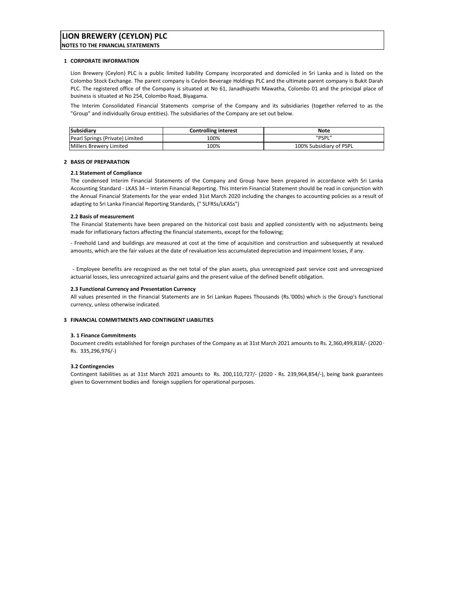# **LION BREWERY (CEYLON) PLC**

**NOTES TO THE FINANCIAL STATEMENTS**

## **1 CORPORATE INFORMATION**

Lion Brewery (Ceylon) PLC is a public limited liability Company incorporated and domiciled in Sri Lanka and is listed on the Colombo Stock Exchange. The parent company is Ceylon Beverage Holdings PLC and the ultimate parent company is Bukit Darah PLC. The registered office of the Company is situated at No 61, Janadhipathi Mawatha, Colombo 01 and the principal place of business is situated at No 254, Colombo Road, Biyagama.

The Interim Consolidated Financial Statements comprise of the Company and its subsidiaries (together referred to as the "Group" and individually Group entities). The subsidiaries of the Company are set out below.

| Subsidiary                      | <b>Controlling interest</b> | Note                    |
|---------------------------------|-----------------------------|-------------------------|
| Pearl Springs (Private) Limited | 100%                        | "PSPL"                  |
| Millers Brewery Limited         | 100%                        | 100% Subsidiary of PSPL |

## **2 BASIS OF PREPARATION**

## **2.1 Statement of Compliance**

The condensed Interim Financial Statements of the Company and Group have been prepared in accordance with Sri Lanka Accounting Standard ‐ LKAS 34 – Interim Financial Reporting. This Interim Financial Statement should be read in conjunction with the Annual Financial Statements for the year ended 31st March 2020 including the changes to accounting policies as a result of adapting to Sri Lanka Financial Reporting Standards, (" SLFRSs/LKASs")

### **2.2 Basis of measurement**

The Financial Statements have been prepared on the historical cost basis and applied consistently with no adjustments being made for inflationary factors affecting the financial statements, except for the following;

‐ Freehold Land and buildings are measured at cost at the time of acquisition and construction and subsequently at revalued amounts, which are the fair values at the date of revaluation less accumulated depreciation and impairment losses, if any.

‐ Employee benefits are recognized as the net total of the plan assets, plus unrecognized past service cost and unrecognized actuarial losses, less unrecognized actuarial gains and the present value of the defined benefit obligation.

### **2.3 Functional Currency and Presentation Currency**

All values presented in the Financial Statements are in Sri Lankan Rupees Thousands (Rs.'000s) which is the Group's functional currency, unless otherwise indicated.

### **3 FINANCIAL COMMITMENTS AND CONTINGENT LIABILITIES**

## **3. 1 Finance Commitments**

Document credits established for foreign purchases of the Company as at 31st March 2021 amounts to Rs. 2,360,499,818/‐ (2020 ‐ Rs. 335,296,976/‐)

## **3.2 Contingencies**

Contingent liabilities as at 31st March 2021 amounts to Rs. 200,110,727/‐ (2020 ‐ Rs. 239,964,854/‐), being bank guarantees given to Government bodies and foreign suppliers for operational purposes.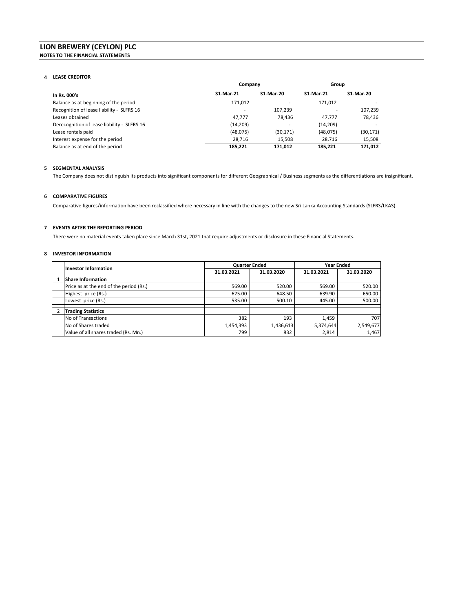### **4 LEASE CREDITOR**

|                                             | Company   |           | Group     |           |
|---------------------------------------------|-----------|-----------|-----------|-----------|
| In Rs. 000's                                | 31-Mar-21 | 31-Mar-20 | 31-Mar-21 | 31-Mar-20 |
| Balance as at beginning of the period       | 171,012   |           | 171.012   |           |
| Recognition of lease liability - SLFRS 16   |           | 107,239   |           | 107,239   |
| Leases obtained                             | 47.777    | 78.436    | 47.777    | 78.436    |
| Derecognition of lease liability - SLFRS 16 | (14, 209) |           | (14, 209) |           |
| Lease rentals paid                          | (48,075)  | (30, 171) | (48,075)  | (30, 171) |
| Interest expense for the period             | 28.716    | 15,508    | 28,716    | 15,508    |
| Balance as at end of the period             | 185.221   | 171.012   | 185.221   | 171,012   |

### **5 SEGMENTAL ANALYSIS**

The Company does not distinguish its products into significant components for different Geographical / Business segments as the differentiations are insignificant.

# **6 COMPARATIVE FIGURES**

Comparative figures/information have been reclassified where necessary in line with the changes to the new Sri Lanka Accounting Standards (SLFRS/LKAS).

# **7 EVENTS AFTER THE REPORTING PERIOD**

There were no material events taken place since March 31st, 2021 that require adjustments or disclosure in these Financial Statements.

# **8 INVESTOR INFORMATION**

| <b>Investor Information</b>             | <b>Quarter Ended</b> |            |            | <b>Year Ended</b> |
|-----------------------------------------|----------------------|------------|------------|-------------------|
|                                         | 31.03.2021           | 31.03.2020 | 31.03.2021 | 31.03.2020        |
| <b>Share Information</b>                |                      |            |            |                   |
| Price as at the end of the period (Rs.) | 569.00               | 520.00     | 569.00     | 520.00            |
| Highest price (Rs.)                     | 625.00               | 648.50     | 639.90     | 650.00            |
| Lowest price (Rs.)                      | 535.00               | 500.10     | 445.00     | 500.00            |
|                                         |                      |            |            |                   |
| <b>Trading Statistics</b>               |                      |            |            |                   |
| No of Transactions                      | 382                  | 193        | 1,459      | 707               |
| No of Shares traded                     | 1,454,393            | 1,436,613  | 5,374,644  | 2,549,677         |
| Value of all shares traded (Rs. Mn.)    | 799                  | 832        | 2,814      | 1,467             |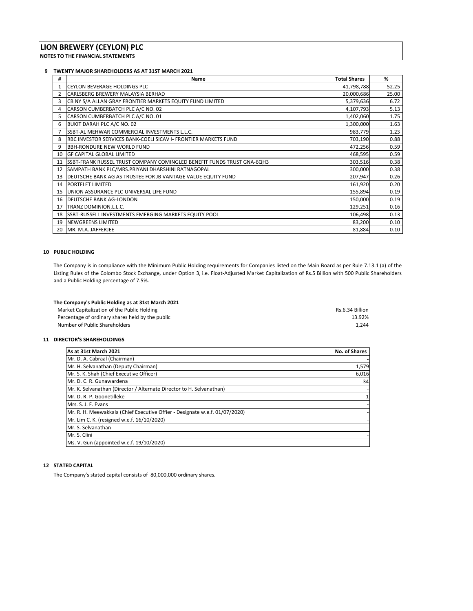# **9 TWENTY MAJOR SHAREHOLDERS AS AT 31ST MARCH 2021**

| #  | Name                                                                           | <b>Total Shares</b> | %     |
|----|--------------------------------------------------------------------------------|---------------------|-------|
| 1  | <b>CEYLON BEVERAGE HOLDINGS PLC</b>                                            | 41,798,788          | 52.25 |
| 2  | CARLSBERG BREWERY MALAYSIA BERHAD                                              | 20,000,686          | 25.00 |
| 3  | CB NY S/A ALLAN GRAY FRONTIER MARKETS EQUITY FUND LIMITED                      | 5,379,636           | 6.72  |
| 4  | CARSON CUMBERBATCH PLC A/C NO. 02                                              | 4,107,793           | 5.13  |
| 5  | CARSON CUMBERBATCH PLC A/C NO. 01                                              | 1,402,060           | 1.75  |
| 6  | BUKIT DARAH PLC A/C NO. 02                                                     | 1,300,000           | 1.63  |
|    | SSBT-AL MEHWAR COMMERCIAL INVESTMENTS L.L.C.                                   | 983,779             | 1.23  |
| 8  | RBC INVESTOR SERVICES BANK-COELI SICAV I- FRONTIER MARKETS FUND                | 703,190             | 0.88  |
| 9  | <b>BBH-RONDURE NEW WORLD FUND</b>                                              | 472,256             | 0.59  |
| 10 | <b>IGF CAPITAL GLOBAL LIMITED</b>                                              | 468,595             | 0.59  |
| 11 | <b>ISSBT-FRANK RUSSEL TRUST COMPANY COMINGLED BENEFIT FUNDS TRUST GNA-6QH3</b> | 303,516             | 0.38  |
| 12 | SAMPATH BANK PLC/MRS.PRIYANI DHARSHINI RATNAGOPAL                              | 300,000             | 0.38  |
| 13 | DEUTSCHE BANK AG AS TRUSTEE FOR JB VANTAGE VALUE EQUITY FUND                   | 207,947             | 0.26  |
| 14 | <b>PORTELET LIMITED</b>                                                        | 161,920             | 0.20  |
| 15 | UNION ASSURANCE PLC-UNIVERSAL LIFE FUND                                        | 155,894             | 0.19  |
| 16 | <b>DEUTSCHE BANK AG-LONDON</b>                                                 | 150,000             | 0.19  |
| 17 | TRANZ DOMINION, L.L.C.                                                         | 129,251             | 0.16  |
| 18 | <b>ISSBT-RUSSELL INVESTMENTS EMERGING MARKETS EQUITY POOL</b>                  | 106,498             | 0.13  |
| 19 | <b>NEWGREENS LIMITED</b>                                                       | 83,200              | 0.10  |
| 20 | MR. M.A. JAFFERJEE                                                             | 81,884              | 0.10  |

# **10 PUBLIC HOLDING**

The Company is in compliance with the Minimum Public Holding requirements for Companies listed on the Main Board as per Rule 7.13.1 (a) of the Listing Rules of the Colombo Stock Exchange, under Option 3, i.e. Float‐Adjusted Market Capitalization of Rs.5 Billion with 500 Public Shareholders and a Public Holding percentage of 7.5%.

| The Company's Public Holding as at 31st March 2021 |                 |
|----------------------------------------------------|-----------------|
| Market Capitalization of the Public Holding        | Rs.6.34 Billion |
| Percentage of ordinary shares held by the public   | 13.92%          |
| Number of Public Shareholders                      | 1.244           |

# **11 DIRECTOR'S SHAREHOLDINGS**

| As at 31st March 2021                                                       | <b>No. of Shares</b> |
|-----------------------------------------------------------------------------|----------------------|
| Mr. D. A. Cabraal (Chairman)                                                |                      |
| Mr. H. Selvanathan (Deputy Chairman)                                        | 1,579                |
| Mr. S. K. Shah (Chief Executive Officer)                                    | 6,016                |
| Mr. D. C. R. Gunawardena                                                    | 34                   |
| Mr. K. Selvanathan (Director / Alternate Director to H. Selvanathan)        |                      |
| Mr. D. R. P. Goonetilleke                                                   |                      |
| Mrs. S. J. F. Evans                                                         |                      |
| Mr. R. H. Meewakkala (Chief Executive Offier - Designate w.e.f. 01/07/2020) |                      |
| Mr. Lim C. K. (resigned w.e.f. 16/10/2020)                                  |                      |
| Mr. S. Selvanathan                                                          |                      |
| Mr. S. Clini                                                                |                      |
| Ms. V. Gun (appointed w.e.f. 19/10/2020)                                    |                      |

# **12 STATED CAPITAL**

The Company's stated capital consists of 80,000,000 ordinary shares.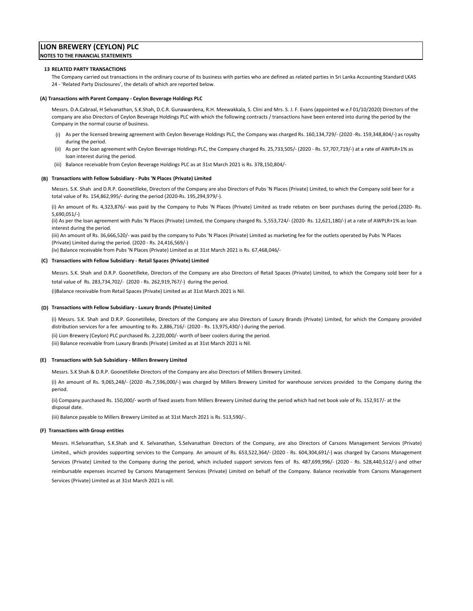#### **13 RELATED PARTY TRANSACTIONS**

The Company carried out transactions in the ordinary course of its business with parties who are defined as related parties in Sri Lanka Accounting Standard LKAS 24 ‐ 'Related Party Disclosures', the details of which are reported below.

#### **(A) Transactions with Parent Company ‐ Ceylon Beverage Holdings PLC**

Messrs. D.A.Cabraal, H Selvanathan, S.K.Shah, D.C.R. Gunawardena, R.H. Meewakkala, S. Clini and Mrs. S. J. F. Evans (appointed w.e.f 01/10/2020) Directors of the company are also Directors of Ceylon Beverage Holdings PLC with which the following contracts / transactions have been entered into during the period by the Company in the normal course of business.

- (i) As per the licensed brewing agreement with Ceylon Beverage Holdings PLC, the Company was charged Rs. 160,134,729/‐ (2020 ‐Rs. 159,348,804/‐) as royalty during the period.
- (ii) As per the loan agreement with Ceylon Beverage Holdings PLC, the Company charged Rs. 25,733,505/‐ (2020 ‐ Rs. 57,707,719/‐) at a rate of AWPLR+1% as loan interest during the period.
- (iii) Balance receivable from Ceylon Beverage Holdings PLC as at 31st March 2021 is Rs. 378,150,804/‐

#### **(B) Transactions with Fellow Subsidiary ‐ Pubs 'N Places (Private) Limited**

Messrs. S.K. Shah and D.R.P. Goonetilleke, Directors of the Company are also Directors of Pubs 'N Places (Private) Limited, to which the Company sold beer for a total value of Rs. 154,862,995/‐ during the period (2020‐Rs. 195,294,979/‐).

(i) An amount of Rs. 4,323,876/‐ was paid by the Company to Pubs 'N Places (Private) Limited as trade rebates on beer purchases during the period.(2020‐ Rs. 5,690,051/‐)

(ii) As per the loan agreement with Pubs 'N Places (Private) Limited, the Company charged Rs. 5,553,724/‐ (2020‐ Rs. 12,621,180/‐) at a rate of AWPLR+1% as loan interest during the period.

(iii) An amount of Rs. 36,666,520/‐ was paid by the company to Pubs 'N Places (Private) Limited as marketing fee for the outlets operated by Pubs 'N Places (Private) Limited during the period. (2020 ‐ Rs. 24,416,569/‐)

(iv) Balance receivable from Pubs 'N Places (Private) Limited as at 31st March 2021 is Rs. 67,468,046/‐

### **(C) Transactions with Fellow Subsidiary ‐ Retail Spaces (Private) Limited**

Messrs. S.K. Shah and D.R.P. Goonetilleke, Directors of the Company are also Directors of Retail Spaces (Private) Limited, to which the Company sold beer for a total value of Rs. 283,734,702/‐ (2020 ‐ Rs. 262,919,767/‐) during the period.

(i)Balance receivable from Retail Spaces (Private) Limited as at 31st March 2021 is Nil.

#### **(D) Transactions with Fellow Subsidiary ‐ Luxury Brands (Private) Limited**

(i) Messrs. S.K. Shah and D.R.P. Goonetilleke, Directors of the Company are also Directors of Luxury Brands (Private) Limited, for which the Company provided distribution services for a fee amounting to Rs. 2,886,716/‐ (2020 ‐ Rs. 13,975,430/‐) during the period.

(ii) Lion Brewery (Ceylon) PLC purchased Rs. 2,220,000/‐ worth of beer coolers during the period.

(iii) Balance receivable from Luxury Brands (Private) Limited as at 31st March 2021 is Nil.

#### **(E) Transactions with Sub Subsidiary ‐ Millers Brewery Limited**

Messrs. S.K Shah & D.R.P. Goonetilleke Directors of the Company are also Directors of Millers Brewery Limited.

(i) An amount of Rs. 9,065,248/‐ (2020 ‐Rs.7,596,000/‐) was charged by Millers Brewery Limited for warehouse services provided to the Company during the period.

(ii) Company purchased Rs. 150,000/‐ worth of fixed assets from Millers Brewery Limited during the period which had net book vale of Rs. 152,917/‐ at the disposal date.

(iii) Balance payable to Millers Brewery Limited as at 31st March 2021 is Rs. 513,590/‐.

#### **(F) Transactions with Group entities**

Messrs. H.Selvanathan, S.K.Shah and K. Selvanathan, S.Selvanathan Directors of the Company, are also Directors of Carsons Management Services (Private) Limited., which provides supporting services to the Company. An amount of Rs. 653,522,364/‐ (2020 ‐ Rs. 604,304,691/‐) was charged by Carsons Management Services (Private) Limited to the Company during the period, which included support services fees of Rs. 487,699,996/- (2020 - Rs. 528,440,512/-) and other reimbursable expenses incurred by Carsons Management Services (Private) Limited on behalf of the Company. Balance receivable from Carsons Management Services (Private) Limited as at 31st March 2021 is nill.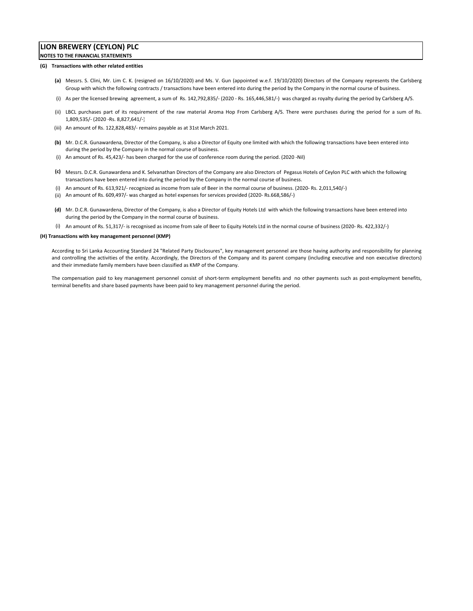#### **(G) Transactions with other related entities**

- **(a)** Messrs. S. Clini, Mr. Lim C. K. (resigned on 16/10/2020) and Ms. V. Gun (appointed w.e.f. 19/10/2020) Directors of the Company represents the Carlsberg Group with which the following contracts / transactions have been entered into during the period by the Company in the normal course of business.
- (i) As per the licensed brewing agreement, a sum of Rs. 142,792,835/‐ (2020 ‐ Rs. 165,446,581/‐) was charged as royalty during the period by Carlsberg A/S.
- (ii) LBCL purchases part of its requirement of the raw material Aroma Hop From Carlsberg A/S. There were purchases during the period for a sum of Rs. 1,809,535/‐ (2020 ‐Rs. 8,827,641/‐)
- (iii) An amount of Rs. 122,828,483/‐ remains payable as at 31st March 2021.
- **(b)** Mr. D.C.R. Gunawardena, Director of the Company, is also a Director of Equity one limited with which the following transactions have been entered into during the period by the Company in the normal course of business.
- (i) An amount of Rs. 45,423/‐ has been charged for the use of conference room during the period. (2020 ‐Nil)
- **(c)** Messrs. D.C.R. Gunawardena and K. Selvanathan Directors of the Company are also Directors of Pegasus Hotels of Ceylon PLC with which the following transactions have been entered into during the period by the Company in the normal course of business.
- (i) An amount of Rs. 613,921/‐ recognized as income from sale of Beer in the normal course of business. (2020‐ Rs. 2,011,540/‐)
- (ii) An amount of Rs. 609,497/‐ was charged as hotel expenses for services provided (2020‐ Rs.668,586/‐)
- **(d)** Mr. D.C.R. Gunawardena, Director of the Company, is also a Director of Equity Hotels Ltd with which the following transactions have been entered into during the period by the Company in the normal course of business.
- (i) An amount of Rs. 51,317/‐ is recognised as income from sale of Beer to Equity Hotels Ltd in the normal course of business (2020‐ Rs. 422,332/‐)

#### **(H) Transactions with key management personnel (KMP)**

According to Sri Lanka Accounting Standard 24 "Related Party Disclosures", key management personnel are those having authority and responsibility for planning and controlling the activities of the entity. Accordingly, the Directors of the Company and its parent company (including executive and non executive directors) and their immediate family members have been classified as KMP of the Company.

The compensation paid to key management personnel consist of short-term employment benefits and no other payments such as post-employment benefits, terminal benefits and share based payments have been paid to key management personnel during the period.